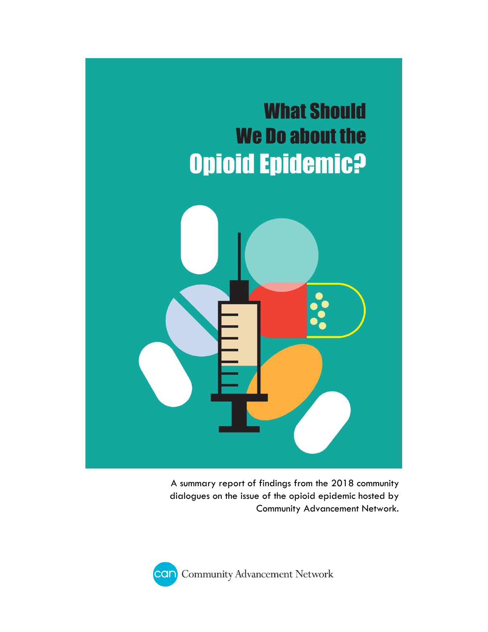

A summary report of findings from the 2018 community dialogues on the issue of the opioid epidemic hosted by Community Advancement Network.

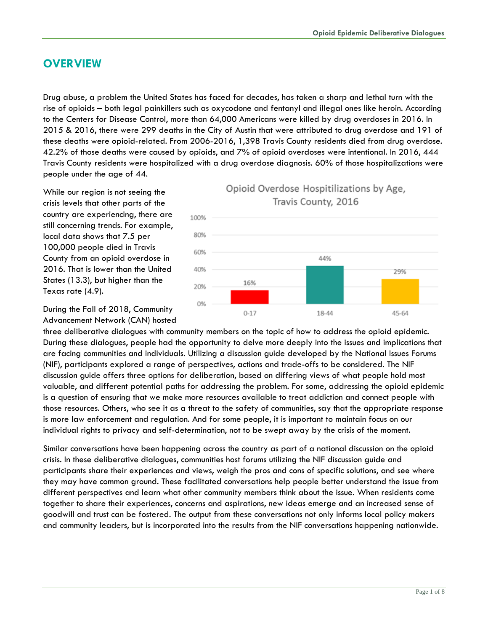# **OVERVIEW**

Drug abuse, a problem the United States has faced for decades, has taken a sharp and lethal turn with the rise of opioids – both legal painkillers such as oxycodone and fentanyl and illegal ones like heroin. According to the Centers for Disease Control, more than 64,000 Americans were killed by drug overdoses in 2016. In 2015 & 2016, there were 299 deaths in the City of Austin that were attributed to drug overdose and 191 of these deaths were opioid-related. From 2006-2016, 1,398 Travis County residents died from drug overdose. 42.2% of those deaths were caused by opioids, and 7% of opioid overdoses were intentional. In 2016, 444 Travis County residents were hospitalized with a drug overdose diagnosis. 60% of those hospitalizations were people under the age of 44.

While our region is not seeing the crisis levels that other parts of the country are experiencing, there are still concerning trends. For example, local data shows that 7.5 per 100,000 people died in Travis County from an opioid overdose in 2016. That is lower than the United States (13.3), but higher than the Texas rate (4.9).



During the Fall of 2018, Community Advancement Network (CAN) hosted

three deliberative dialogues with community members on the topic of how to address the opioid epidemic. During these dialogues, people had the opportunity to delve more deeply into the issues and implications that are facing communities and individuals. Utilizing a discussion guide developed by the National Issues Forums (NIF), participants explored a range of perspectives, actions and trade-offs to be considered. The NIF discussion guide offers three options for deliberation, based on differing views of what people hold most valuable, and different potential paths for addressing the problem. For some, addressing the opioid epidemic is a question of ensuring that we make more resources available to treat addiction and connect people with those resources. Others, who see it as a threat to the safety of communities, say that the appropriate response is more law enforcement and regulation. And for some people, it is important to maintain focus on our individual rights to privacy and self-determination, not to be swept away by the crisis of the moment.

Similar conversations have been happening across the country as part of a national discussion on the opioid crisis. In these deliberative dialogues, communities host forums utilizing the NIF discussion guide and participants share their experiences and views, weigh the pros and cons of specific solutions, and see where they may have common ground. These facilitated conversations help people better understand the issue from different perspectives and learn what other community members think about the issue. When residents come together to share their experiences, concerns and aspirations, new ideas emerge and an increased sense of goodwill and trust can be fostered. The output from these conversations not only informs local policy makers and community leaders, but is incorporated into the results from the NIF conversations happening nationwide.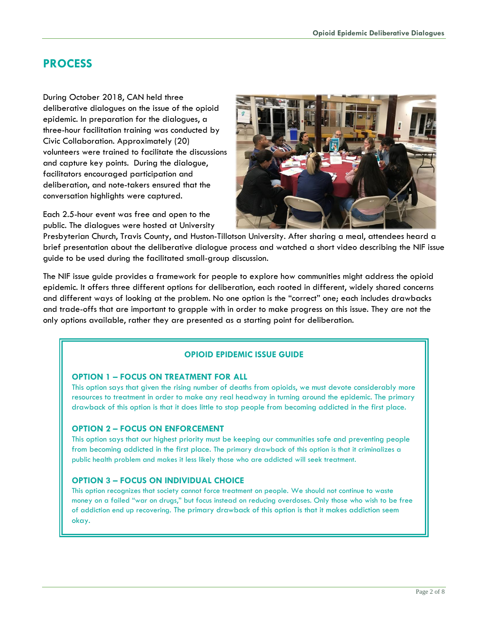## **PROCESS**

During October 2018, CAN held three deliberative dialogues on the issue of the opioid epidemic. In preparation for the dialogues, a three-hour facilitation training was conducted by Civic Collaboration. Approximately (20) volunteers were trained to facilitate the discussions and capture key points. During the dialogue, facilitators encouraged participation and deliberation, and note-takers ensured that the conversation highlights were captured.

Each 2.5-hour event was free and open to the public. The dialogues were hosted at University



Presbyterian Church, Travis County, and Huston-Tillotson University. After sharing a meal, attendees heard a brief presentation about the deliberative dialogue process and watched a short video describing the NIF issue guide to be used during the facilitated small-group discussion.

The NIF issue guide provides a framework for people to explore how communities might address the opioid epidemic. It offers three different options for deliberation, each rooted in different, widely shared concerns and different ways of looking at the problem. No one option is the "correct" one; each includes drawbacks and trade-offs that are important to grapple with in order to make progress on this issue. They are not the only options available, rather they are presented as a starting point for deliberation.

### **OPIOID EPIDEMIC ISSUE GUIDE**

#### **OPTION 1 – FOCUS ON TREATMENT FOR ALL**

This option says that given the rising number of deaths from opioids, we must devote considerably more resources to treatment in order to make any real headway in turning around the epidemic. The primary drawback of this option is that it does little to stop people from becoming addicted in the first place.

### **OPTION 2 – FOCUS ON ENFORCEMENT**

This option says that our highest priority must be keeping our communities safe and preventing people from becoming addicted in the first place. The primary drawback of this option is that it criminalizes a public health problem and makes it less likely those who are addicted will seek treatment.

### **OPTION 3 – FOCUS ON INDIVIDUAL CHOICE**

This option recognizes that society cannot force treatment on people. We should not continue to waste money on a failed "war on drugs," but focus instead on reducing overdoses. Only those who wish to be free of addiction end up recovering. The primary drawback of this option is that it makes addiction seem okay.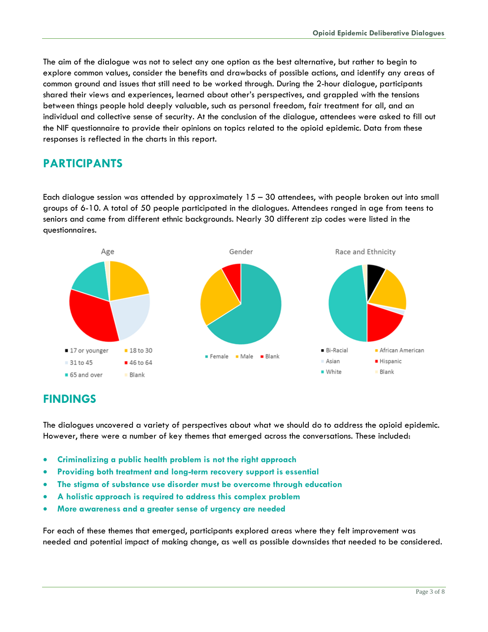The aim of the dialogue was not to select any one option as the best alternative, but rather to begin to explore common values, consider the benefits and drawbacks of possible actions, and identify any areas of common ground and issues that still need to be worked through. During the 2-hour dialogue, participants shared their views and experiences, learned about other's perspectives, and grappled with the tensions between things people hold deeply valuable, such as personal freedom, fair treatment for all, and an individual and collective sense of security. At the conclusion of the dialogue, attendees were asked to fill out the NIF questionnaire to provide their opinions on topics related to the opioid epidemic. Data from these responses is reflected in the charts in this report.

# **PARTICIPANTS**

Each dialogue session was attended by approximately 15 – 30 attendees, with people broken out into small groups of 6-10. A total of 50 people participated in the dialogues. Attendees ranged in age from teens to seniors and came from different ethnic backgrounds. Nearly 30 different zip codes were listed in the questionnaires.



## **FINDINGS**

The dialogues uncovered a variety of perspectives about what we should do to address the opioid epidemic. However, there were a number of key themes that emerged across the conversations. These included:

- **Criminalizing a public health problem is not the right approach**
- **Providing both treatment and long-term recovery support is essential**
- **The stigma of substance use disorder must be overcome through education**
- **A holistic approach is required to address this complex problem**
- **More awareness and a greater sense of urgency are needed**

For each of these themes that emerged, participants explored areas where they felt improvement was needed and potential impact of making change, as well as possible downsides that needed to be considered.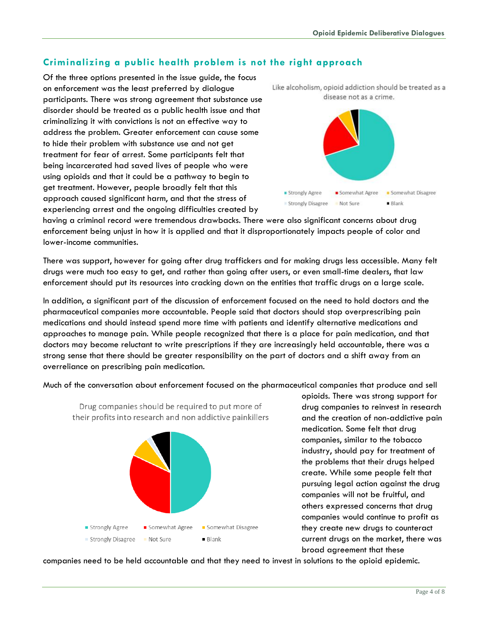## **Criminalizing a public health problem is not the right approach**

Of the three options presented in the issue guide, the focus on enforcement was the least preferred by dialogue participants. There was strong agreement that substance use disorder should be treated as a public health issue and that criminalizing it with convictions is not an effective way to address the problem. Greater enforcement can cause some to hide their problem with substance use and not get treatment for fear of arrest. Some participants felt that being incarcerated had saved lives of people who were using opioids and that it could be a pathway to begin to get treatment. However, people broadly felt that this approach caused significant harm, and that the stress of experiencing arrest and the ongoing difficulties created by





having a criminal record were tremendous drawbacks. There were also significant concerns about drug enforcement being unjust in how it is applied and that it disproportionately impacts people of color and lower-income communities.

There was support, however for going after drug traffickers and for making drugs less accessible. Many felt drugs were much too easy to get, and rather than going after users, or even small-time dealers, that law enforcement should put its resources into cracking down on the entities that traffic drugs on a large scale.

In addition, a significant part of the discussion of enforcement focused on the need to hold doctors and the pharmaceutical companies more accountable. People said that doctors should stop overprescribing pain medications and should instead spend more time with patients and identify alternative medications and approaches to manage pain. While people recognized that there is a place for pain medication, and that doctors may become reluctant to write prescriptions if they are increasingly held accountable, there was a strong sense that there should be greater responsibility on the part of doctors and a shift away from an overreliance on prescribing pain medication.

Much of the conversation about enforcement focused on the pharmaceutical companies that produce and sell



opioids. There was strong support for drug companies to reinvest in research and the creation of non-addictive pain medication. Some felt that drug companies, similar to the tobacco industry, should pay for treatment of the problems that their drugs helped create. While some people felt that pursuing legal action against the drug companies will not be fruitful, and others expressed concerns that drug companies would continue to profit as they create new drugs to counteract current drugs on the market, there was broad agreement that these

companies need to be held accountable and that they need to invest in solutions to the opioid epidemic.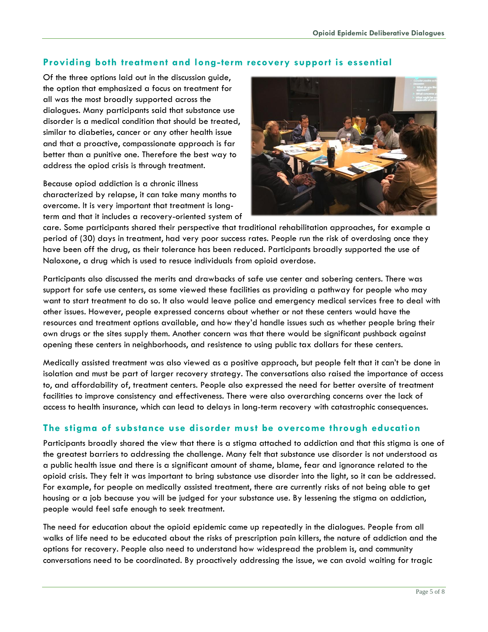### **Providing both treatment and long-term recovery support is essential**

Of the three options laid out in the discussion guide, the option that emphasized a focus on treatment for all was the most broadly supported across the dialogues. Many participants said that substance use disorder is a medical condition that should be treated, similar to diabeties, cancer or any other health issue and that a proactive, compassionate approach is far better than a punitive one. Therefore the best way to address the opiod crisis is through treatment.

Because opiod addiction is a chronic illness characterized by relapse, it can take many months to overcome. It is very important that treatment is longterm and that it includes a recovery-oriented system of



care. Some participants shared their perspective that traditional rehabilitation approaches, for example a period of (30) days in treatment, had very poor success rates. People run the risk of overdosing once they have been off the drug, as their tolerance has been reduced. Participants broadly supported the use of Naloxone, a drug which is used to resuce individuals from opioid overdose.

Participants also discussed the merits and drawbacks of safe use center and sobering centers. There was support for safe use centers, as some viewed these facilities as providing a pathway for people who may want to start treatment to do so. It also would leave police and emergency medical services free to deal with other issues. However, people expressed concerns about whether or not these centers would have the resources and treatment options available, and how they'd handle issues such as whether people bring their own drugs or the sites supply them. Another concern was that there would be significant pushback against opening these centers in neighborhoods, and resistence to using public tax dollars for these centers.

Medically assisted treatment was also viewed as a positive approach, but people felt that it can't be done in isolation and must be part of larger recovery strategy. The conversations also raised the importance of access to, and affordability of, treatment centers. People also expressed the need for better oversite of treatment facilities to improve consistency and effectiveness. There were also overarching concerns over the lack of access to health insurance, which can lead to delays in long-term recovery with catastrophic consequences.

## **The stigma of substance use disorder must be overcome through education**

Participants broadly shared the view that there is a stigma attached to addiction and that this stigma is one of the greatest barriers to addressing the challenge. Many felt that substance use disorder is not understood as a public health issue and there is a significant amount of shame, blame, fear and ignorance related to the opioid crisis. They felt it was important to bring substance use disorder into the light, so it can be addressed. For example, for people on medically assisted treatment, there are currently risks of not being able to get housing or a job because you will be judged for your substance use. By lessening the stigma on addiction, people would feel safe enough to seek treatment.

The need for education about the opioid epidemic came up repeatedly in the dialogues. People from all walks of life need to be educated about the risks of prescription pain killers, the nature of addiction and the options for recovery. People also need to understand how widespread the problem is, and community conversations need to be coordinated. By proactively addressing the issue, we can avoid waiting for tragic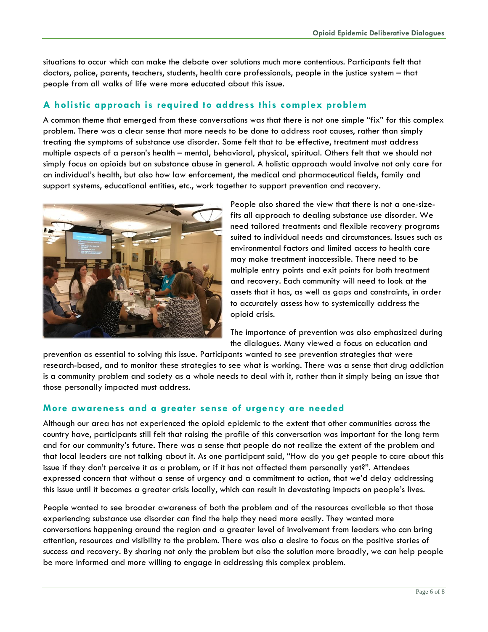situations to occur which can make the debate over solutions much more contentious. Participants felt that doctors, police, parents, teachers, students, health care professionals, people in the justice system – that people from all walks of life were more educated about this issue.

## **A holistic approach is required to address this complex problem**

A common theme that emerged from these conversations was that there is not one simple "fix" for this complex problem. There was a clear sense that more needs to be done to address root causes, rather than simply treating the symptoms of substance use disorder. Some felt that to be effective, treatment must address multiple aspects of a person's health – mental, behavioral, physical, spiritual. Others felt that we should not simply focus on opioids but on substance abuse in general. A holistic approach would involve not only care for an individual's health, but also how law enforcement, the medical and pharmaceutical fields, family and support systems, educational entities, etc., work together to support prevention and recovery.



People also shared the view that there is not a one-sizefits all approach to dealing substance use disorder. We need tailored treatments and flexible recovery programs suited to individual needs and circumstances. Issues such as environmental factors and limited access to health care may make treatment inaccessible. There need to be multiple entry points and exit points for both treatment and recovery. Each community will need to look at the assets that it has, as well as gaps and constraints, in order to accurately assess how to systemically address the opioid crisis.

The importance of prevention was also emphasized during the dialogues. Many viewed a focus on education and

prevention as essential to solving this issue. Participants wanted to see prevention strategies that were research-based, and to monitor these strategies to see what is working. There was a sense that drug addiction is a community problem and society as a whole needs to deal with it, rather than it simply being an issue that those personally impacted must address.

### **More awareness and a greater sense of urgency are needed**

Although our area has not experienced the opioid epidemic to the extent that other communities across the country have, participants still felt that raising the profile of this conversation was important for the long term and for our community's future. There was a sense that people do not realize the extent of the problem and that local leaders are not talking about it. As one participant said, "How do you get people to care about this issue if they don't perceive it as a problem, or if it has not affected them personally yet?". Attendees expressed concern that without a sense of urgency and a commitment to action, that we'd delay addressing this issue until it becomes a greater crisis locally, which can result in devastating impacts on people's lives.

People wanted to see broader awareness of both the problem and of the resources available so that those experiencing substance use disorder can find the help they need more easily. They wanted more conversations happening around the region and a greater level of involvement from leaders who can bring attention, resources and visibility to the problem. There was also a desire to focus on the positive stories of success and recovery. By sharing not only the problem but also the solution more broadly, we can help people be more informed and more willing to engage in addressing this complex problem.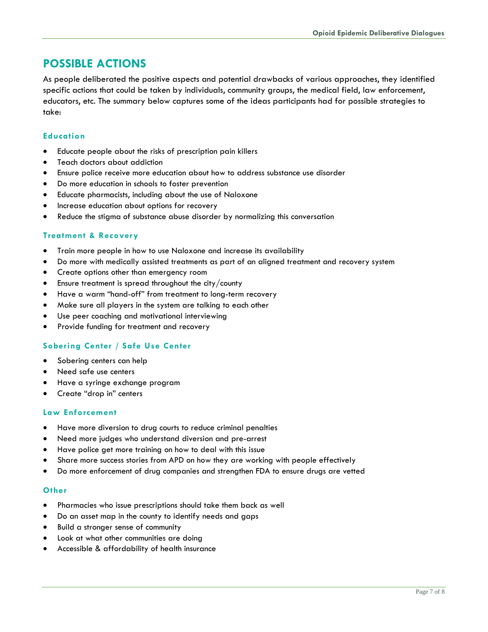# **POSSIBLE ACTIONS**

As people deliberated the positive aspects and potential drawbacks of various approaches, they identified specific actions that could be taken by individuals, community groups, the medical field, law enforcement, educators, etc. The summary below captures some of the ideas participants had for possible strategies to take:

### **Education**

- Educate people about the risks of prescription pain killers
- Teach doctors about addiction
- Ensure police receive more education about how to address substance use disorder
- Do more education in schools to foster prevention
- Educate pharmacists, including about the use of Naloxone
- Increase education about options for recovery
- Reduce the stigma of substance abuse disorder by normalizing this conversation

### **Treatment & Recovery**

- Train more people in how to use Naloxone and increase its availability
- Do more with medically assisted treatments as part of an aligned treatment and recovery system
- Create options other than emergency room
- Ensure treatment is spread throughout the city/county
- Have a warm "hand-off" from treatment to long-term recovery
- Make sure all players in the system are talking to each other
- Use peer coaching and motivational interviewing
- Provide funding for treatment and recovery

### **Sobering Center / Safe Use Center**

- Sobering centers can help
- Need safe use centers
- Have a syringe exchange program
- Create "drop in" centers

#### **Law Enforcement**

- Have more diversion to drug courts to reduce criminal penalties
- Need more judges who understand diversion and pre-arrest
- Have police get more training on how to deal with this issue
- Share more success stories from APD on how they are working with people effectively
- Do more enforcement of drug companies and strengthen FDA to ensure drugs are vetted

#### **Other**

- Pharmacies who issue prescriptions should take them back as well
- Do an asset map in the county to identify needs and gaps
- Build a stronger sense of community
- Look at what other communities are doing
- Accessible & affordability of health insurance